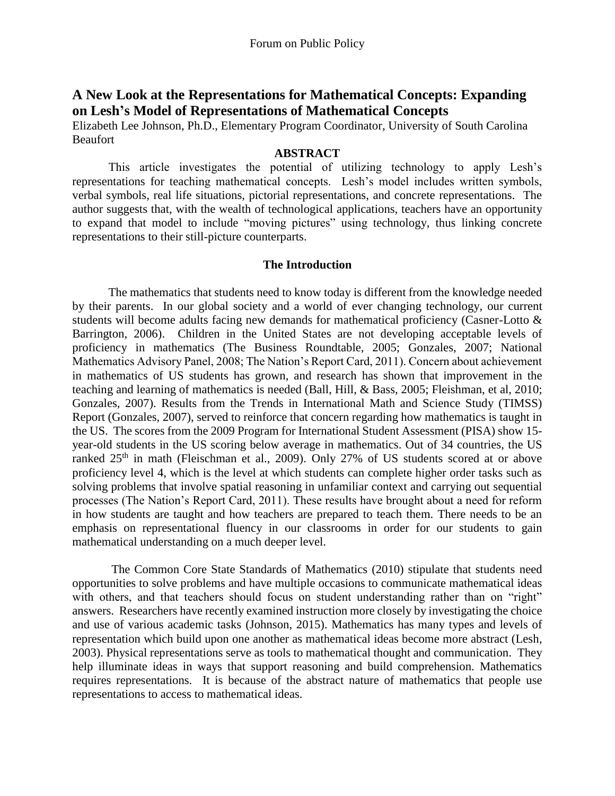# **A New Look at the Representations for Mathematical Concepts: Expanding on Lesh's Model of Representations of Mathematical Concepts**

Elizabeth Lee Johnson, Ph.D., Elementary Program Coordinator, University of South Carolina Beaufort

#### **ABSTRACT**

This article investigates the potential of utilizing technology to apply Lesh's representations for teaching mathematical concepts. Lesh's model includes written symbols, verbal symbols, real life situations, pictorial representations, and concrete representations. The author suggests that, with the wealth of technological applications, teachers have an opportunity to expand that model to include "moving pictures" using technology, thus linking concrete representations to their still-picture counterparts.

### **The Introduction**

The mathematics that students need to know today is different from the knowledge needed by their parents. In our global society and a world of ever changing technology, our current students will become adults facing new demands for mathematical proficiency (Casner-Lotto & Barrington, 2006). Children in the United States are not developing acceptable levels of proficiency in mathematics (The Business Roundtable, 2005; Gonzales, 2007; National Mathematics Advisory Panel, 2008; The Nation's Report Card, 2011). Concern about achievement in mathematics of US students has grown, and research has shown that improvement in the teaching and learning of mathematics is needed (Ball, Hill, & Bass, 2005; Fleishman, et al, 2010; Gonzales, 2007). Results from the Trends in International Math and Science Study (TIMSS) Report (Gonzales, 2007), served to reinforce that concern regarding how mathematics is taught in the US. The scores from the 2009 Program for International Student Assessment (PISA) show 15 year-old students in the US scoring below average in mathematics. Out of 34 countries, the US ranked 25<sup>th</sup> in math (Fleischman et al., 2009). Only 27% of US students scored at or above proficiency level 4, which is the level at which students can complete higher order tasks such as solving problems that involve spatial reasoning in unfamiliar context and carrying out sequential processes (The Nation's Report Card, 2011). These results have brought about a need for reform in how students are taught and how teachers are prepared to teach them. There needs to be an emphasis on representational fluency in our classrooms in order for our students to gain mathematical understanding on a much deeper level.

The Common Core State Standards of Mathematics (2010) stipulate that students need opportunities to solve problems and have multiple occasions to communicate mathematical ideas with others, and that teachers should focus on student understanding rather than on "right" answers. Researchers have recently examined instruction more closely by investigating the choice and use of various academic tasks (Johnson, 2015). Mathematics has many types and levels of representation which build upon one another as mathematical ideas become more abstract (Lesh, 2003). Physical representations serve as tools to mathematical thought and communication. They help illuminate ideas in ways that support reasoning and build comprehension. Mathematics requires representations. It is because of the abstract nature of mathematics that people use representations to access to mathematical ideas.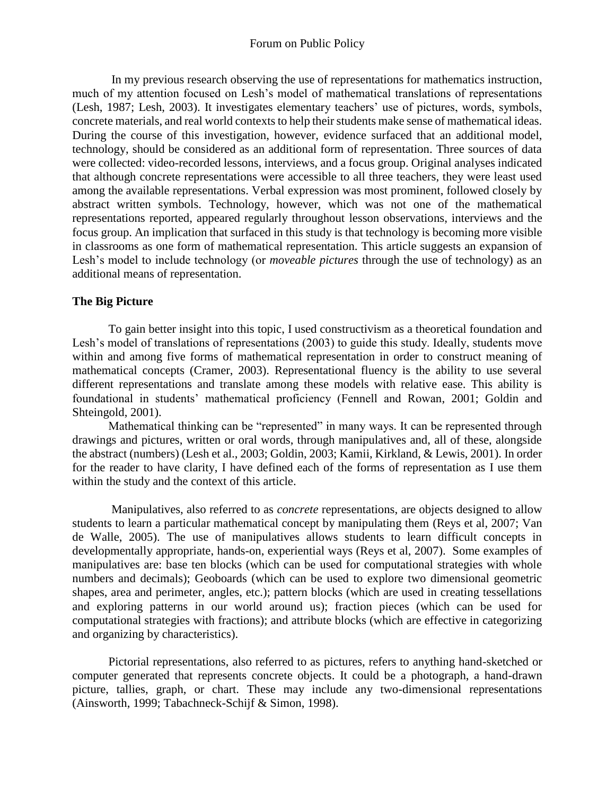In my previous research observing the use of representations for mathematics instruction, much of my attention focused on Lesh's model of mathematical translations of representations (Lesh, 1987; Lesh, 2003). It investigates elementary teachers' use of pictures, words, symbols, concrete materials, and real world contexts to help their students make sense of mathematical ideas. During the course of this investigation, however, evidence surfaced that an additional model, technology, should be considered as an additional form of representation. Three sources of data were collected: video-recorded lessons, interviews, and a focus group. Original analyses indicated that although concrete representations were accessible to all three teachers, they were least used among the available representations. Verbal expression was most prominent, followed closely by abstract written symbols. Technology, however, which was not one of the mathematical representations reported, appeared regularly throughout lesson observations, interviews and the focus group. An implication that surfaced in this study is that technology is becoming more visible in classrooms as one form of mathematical representation. This article suggests an expansion of Lesh's model to include technology (or *moveable pictures* through the use of technology) as an additional means of representation.

# **The Big Picture**

To gain better insight into this topic, I used constructivism as a theoretical foundation and Lesh's model of translations of representations (2003) to guide this study. Ideally, students move within and among five forms of mathematical representation in order to construct meaning of mathematical concepts (Cramer, 2003). Representational fluency is the ability to use several different representations and translate among these models with relative ease. This ability is foundational in students' mathematical proficiency (Fennell and Rowan, 2001; Goldin and Shteingold, 2001).

Mathematical thinking can be "represented" in many ways. It can be represented through drawings and pictures, written or oral words, through manipulatives and, all of these, alongside the abstract (numbers) (Lesh et al., 2003; Goldin, 2003; Kamii, Kirkland, & Lewis, 2001). In order for the reader to have clarity, I have defined each of the forms of representation as I use them within the study and the context of this article.

Manipulatives, also referred to as *concrete* representations, are objects designed to allow students to learn a particular mathematical concept by manipulating them (Reys et al, 2007; Van de Walle, 2005). The use of manipulatives allows students to learn difficult concepts in developmentally appropriate, hands-on, experiential ways (Reys et al, 2007). Some examples of manipulatives are: base ten blocks (which can be used for computational strategies with whole numbers and decimals); Geoboards (which can be used to explore two dimensional geometric shapes, area and perimeter, angles, etc.); pattern blocks (which are used in creating tessellations and exploring patterns in our world around us); fraction pieces (which can be used for computational strategies with fractions); and attribute blocks (which are effective in categorizing and organizing by characteristics).

Pictorial representations, also referred to as pictures, refers to anything hand-sketched or computer generated that represents concrete objects. It could be a photograph, a hand-drawn picture, tallies, graph, or chart. These may include any two-dimensional representations (Ainsworth, 1999; Tabachneck-Schijf & Simon, 1998).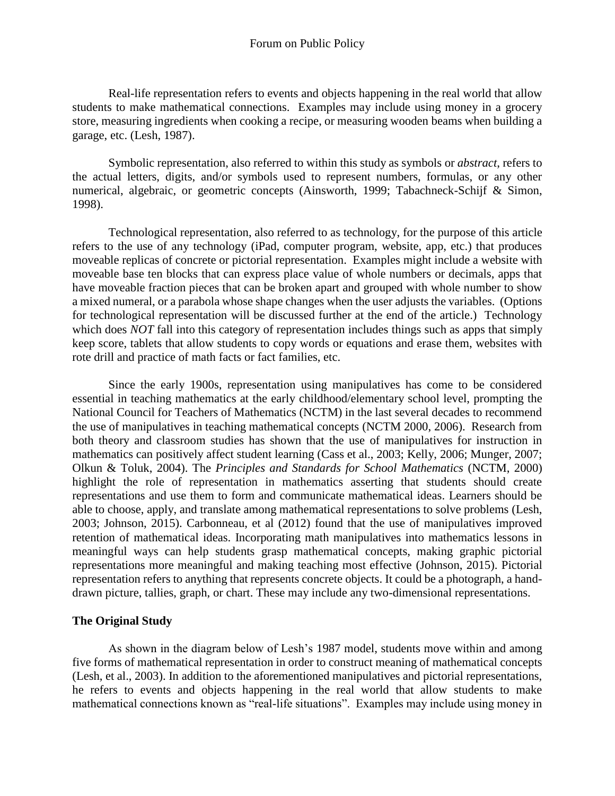Real-life representation refers to events and objects happening in the real world that allow students to make mathematical connections. Examples may include using money in a grocery store, measuring ingredients when cooking a recipe, or measuring wooden beams when building a garage, etc. (Lesh, 1987).

Symbolic representation, also referred to within this study as symbols or *abstract*, refers to the actual letters, digits, and/or symbols used to represent numbers, formulas, or any other numerical, algebraic, or geometric concepts (Ainsworth, 1999; Tabachneck-Schijf & Simon, 1998).

Technological representation, also referred to as technology, for the purpose of this article refers to the use of any technology (iPad, computer program, website, app, etc.) that produces moveable replicas of concrete or pictorial representation. Examples might include a website with moveable base ten blocks that can express place value of whole numbers or decimals, apps that have moveable fraction pieces that can be broken apart and grouped with whole number to show a mixed numeral, or a parabola whose shape changes when the user adjusts the variables. (Options for technological representation will be discussed further at the end of the article.) Technology which does *NOT* fall into this category of representation includes things such as apps that simply keep score, tablets that allow students to copy words or equations and erase them, websites with rote drill and practice of math facts or fact families, etc.

Since the early 1900s, representation using manipulatives has come to be considered essential in teaching mathematics at the early childhood/elementary school level, prompting the National Council for Teachers of Mathematics (NCTM) in the last several decades to recommend the use of manipulatives in teaching mathematical concepts (NCTM 2000, 2006). Research from both theory and classroom studies has shown that the use of manipulatives for instruction in mathematics can positively affect student learning (Cass et al., 2003; Kelly, 2006; Munger, 2007; Olkun & Toluk, 2004). The *Principles and Standards for School Mathematics* (NCTM, 2000) highlight the role of representation in mathematics asserting that students should create representations and use them to form and communicate mathematical ideas. Learners should be able to choose, apply, and translate among mathematical representations to solve problems (Lesh, 2003; Johnson, 2015). Carbonneau, et al (2012) found that the use of manipulatives improved retention of mathematical ideas. Incorporating math manipulatives into mathematics lessons in meaningful ways can help students grasp mathematical concepts, making graphic pictorial representations more meaningful and making teaching most effective (Johnson, 2015). Pictorial representation refers to anything that represents concrete objects. It could be a photograph, a handdrawn picture, tallies, graph, or chart. These may include any two-dimensional representations.

# **The Original Study**

As shown in the diagram below of Lesh's 1987 model, students move within and among five forms of mathematical representation in order to construct meaning of mathematical concepts (Lesh, et al., 2003). In addition to the aforementioned manipulatives and pictorial representations, he refers to events and objects happening in the real world that allow students to make mathematical connections known as "real-life situations". Examples may include using money in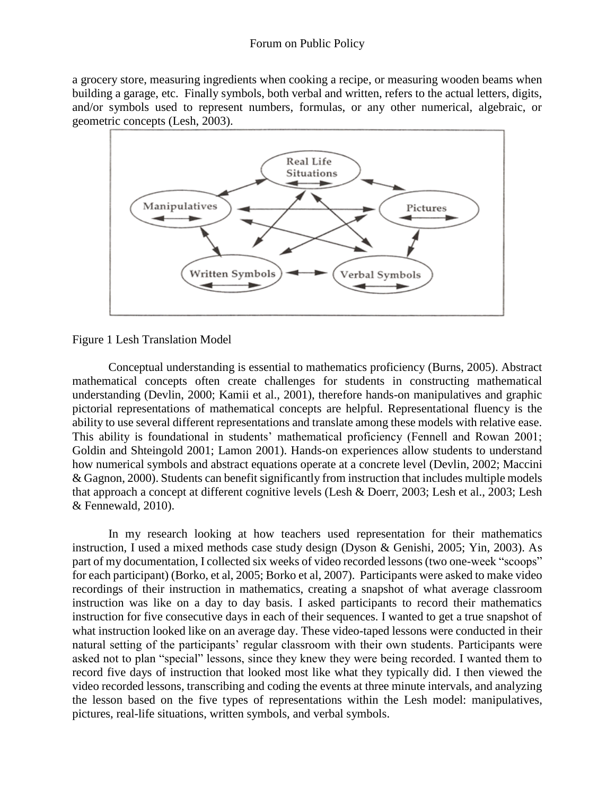a grocery store, measuring ingredients when cooking a recipe, or measuring wooden beams when building a garage, etc. Finally symbols, both verbal and written, refers to the actual letters, digits, and/or symbols used to represent numbers, formulas, or any other numerical, algebraic, or geometric concepts (Lesh, 2003).



Figure 1 Lesh Translation Model

Conceptual understanding is essential to mathematics proficiency (Burns, 2005). Abstract mathematical concepts often create challenges for students in constructing mathematical understanding (Devlin, 2000; Kamii et al., 2001), therefore hands-on manipulatives and graphic pictorial representations of mathematical concepts are helpful. Representational fluency is the ability to use several different representations and translate among these models with relative ease. This ability is foundational in students' mathematical proficiency (Fennell and Rowan 2001; Goldin and Shteingold 2001; Lamon 2001). Hands-on experiences allow students to understand how numerical symbols and abstract equations operate at a concrete level (Devlin, 2002; Maccini & Gagnon, 2000). Students can benefit significantly from instruction that includes multiple models that approach a concept at different cognitive levels (Lesh & Doerr, 2003; Lesh et al., 2003; Lesh & Fennewald, 2010).

In my research looking at how teachers used representation for their mathematics instruction, I used a mixed methods case study design (Dyson & Genishi, 2005; Yin, 2003). As part of my documentation, I collected six weeks of video recorded lessons (two one-week "scoops" for each participant) (Borko, et al, 2005; Borko et al, 2007). Participants were asked to make video recordings of their instruction in mathematics, creating a snapshot of what average classroom instruction was like on a day to day basis. I asked participants to record their mathematics instruction for five consecutive days in each of their sequences. I wanted to get a true snapshot of what instruction looked like on an average day. These video-taped lessons were conducted in their natural setting of the participants' regular classroom with their own students. Participants were asked not to plan "special" lessons, since they knew they were being recorded. I wanted them to record five days of instruction that looked most like what they typically did. I then viewed the video recorded lessons, transcribing and coding the events at three minute intervals, and analyzing the lesson based on the five types of representations within the Lesh model: manipulatives, pictures, real-life situations, written symbols, and verbal symbols.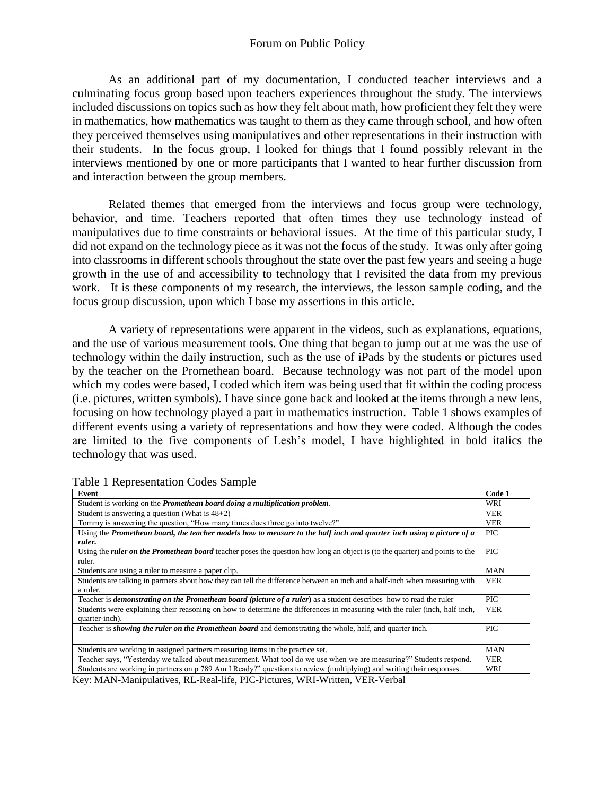As an additional part of my documentation, I conducted teacher interviews and a culminating focus group based upon teachers experiences throughout the study. The interviews included discussions on topics such as how they felt about math, how proficient they felt they were in mathematics, how mathematics was taught to them as they came through school, and how often they perceived themselves using manipulatives and other representations in their instruction with their students. In the focus group, I looked for things that I found possibly relevant in the interviews mentioned by one or more participants that I wanted to hear further discussion from and interaction between the group members.

Related themes that emerged from the interviews and focus group were technology, behavior, and time. Teachers reported that often times they use technology instead of manipulatives due to time constraints or behavioral issues. At the time of this particular study, I did not expand on the technology piece as it was not the focus of the study. It was only after going into classrooms in different schools throughout the state over the past few years and seeing a huge growth in the use of and accessibility to technology that I revisited the data from my previous work. It is these components of my research, the interviews, the lesson sample coding, and the focus group discussion, upon which I base my assertions in this article.

A variety of representations were apparent in the videos, such as explanations, equations, and the use of various measurement tools. One thing that began to jump out at me was the use of technology within the daily instruction, such as the use of iPads by the students or pictures used by the teacher on the Promethean board. Because technology was not part of the model upon which my codes were based, I coded which item was being used that fit within the coding process (i.e. pictures, written symbols). I have since gone back and looked at the items through a new lens, focusing on how technology played a part in mathematics instruction. Table 1 shows examples of different events using a variety of representations and how they were coded. Although the codes are limited to the five components of Lesh's model, I have highlighted in bold italics the technology that was used.

| Event                                                                                                                              | Code 1     |
|------------------------------------------------------------------------------------------------------------------------------------|------------|
| Student is working on the Promethean board doing a multiplication problem.                                                         | WRI        |
| Student is answering a question (What is $48+2$ )                                                                                  | <b>VER</b> |
| Tommy is answering the question, "How many times does three go into twelve?"                                                       | <b>VER</b> |
| Using the Promethean board, the teacher models how to measure to the half inch and quarter inch using a picture of a               | <b>PIC</b> |
| ruler.                                                                                                                             |            |
| Using the <i>ruler</i> on the Promethean board teacher poses the question how long an object is (to the quarter) and points to the | <b>PIC</b> |
| ruler.                                                                                                                             |            |
| Students are using a ruler to measure a paper clip.                                                                                | <b>MAN</b> |
| Students are talking in partners about how they can tell the difference between an inch and a half-inch when measuring with        | <b>VER</b> |
| a ruler.                                                                                                                           |            |
| Teacher is <i>demonstrating on the Promethean board (picture of a ruler)</i> as a student describes how to read the ruler          | <b>PIC</b> |
| Students were explaining their reasoning on how to determine the differences in measuring with the ruler (inch, half inch,         | <b>VER</b> |
| quarter-inch).                                                                                                                     |            |
| Teacher is <i>showing the ruler on the Promethean board</i> and demonstrating the whole, half, and quarter inch.                   | <b>PIC</b> |
|                                                                                                                                    |            |
| Students are working in assigned partners measuring items in the practice set.                                                     | <b>MAN</b> |
| Teacher says, "Yesterday we talked about measurement. What tool do we use when we are measuring?" Students respond.                | <b>VER</b> |
| Students are working in partners on p 789 Am I Ready?" questions to review (multiplying) and writing their responses.              | WRI        |

Table 1 Representation Codes Sample

Key: MAN-Manipulatives, RL-Real-life, PIC-Pictures, WRI-Written, VER-Verbal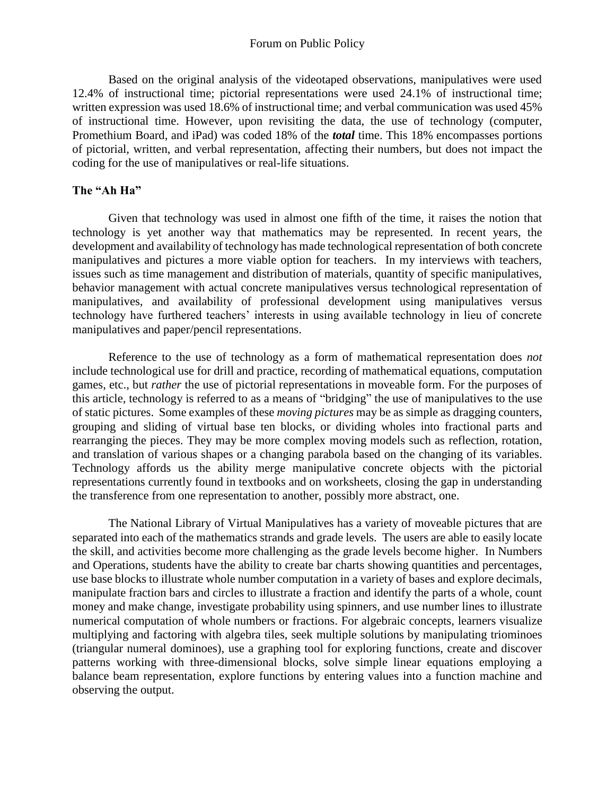Based on the original analysis of the videotaped observations, manipulatives were used 12.4% of instructional time; pictorial representations were used 24.1% of instructional time; written expression was used 18.6% of instructional time; and verbal communication was used 45% of instructional time. However, upon revisiting the data, the use of technology (computer, Promethium Board, and iPad) was coded 18% of the *total* time. This 18% encompasses portions of pictorial, written, and verbal representation, affecting their numbers, but does not impact the coding for the use of manipulatives or real-life situations.

# **The "Ah Ha"**

Given that technology was used in almost one fifth of the time, it raises the notion that technology is yet another way that mathematics may be represented. In recent years, the development and availability of technology has made technological representation of both concrete manipulatives and pictures a more viable option for teachers. In my interviews with teachers, issues such as time management and distribution of materials, quantity of specific manipulatives, behavior management with actual concrete manipulatives versus technological representation of manipulatives, and availability of professional development using manipulatives versus technology have furthered teachers' interests in using available technology in lieu of concrete manipulatives and paper/pencil representations.

Reference to the use of technology as a form of mathematical representation does *not* include technological use for drill and practice, recording of mathematical equations, computation games, etc., but *rather* the use of pictorial representations in moveable form. For the purposes of this article, technology is referred to as a means of "bridging" the use of manipulatives to the use of static pictures. Some examples of these *moving pictures* may be as simple as dragging counters, grouping and sliding of virtual base ten blocks, or dividing wholes into fractional parts and rearranging the pieces. They may be more complex moving models such as reflection, rotation, and translation of various shapes or a changing parabola based on the changing of its variables. Technology affords us the ability merge manipulative concrete objects with the pictorial representations currently found in textbooks and on worksheets, closing the gap in understanding the transference from one representation to another, possibly more abstract, one.

The National Library of Virtual Manipulatives has a variety of moveable pictures that are separated into each of the mathematics strands and grade levels. The users are able to easily locate the skill, and activities become more challenging as the grade levels become higher. In Numbers and Operations, students have the ability to create bar charts showing quantities and percentages, use base blocks to illustrate whole number computation in a variety of bases and explore decimals, manipulate fraction bars and circles to illustrate a fraction and identify the parts of a whole, count money and make change, investigate probability using spinners, and use number lines to illustrate numerical computation of whole numbers or fractions. For algebraic concepts, learners visualize multiplying and factoring with algebra tiles, seek multiple solutions by manipulating triominoes (triangular numeral dominoes), use a graphing tool for exploring functions, create and discover patterns working with three-dimensional blocks, solve simple linear equations employing a balance beam representation, explore functions by entering values into a function machine and observing the output.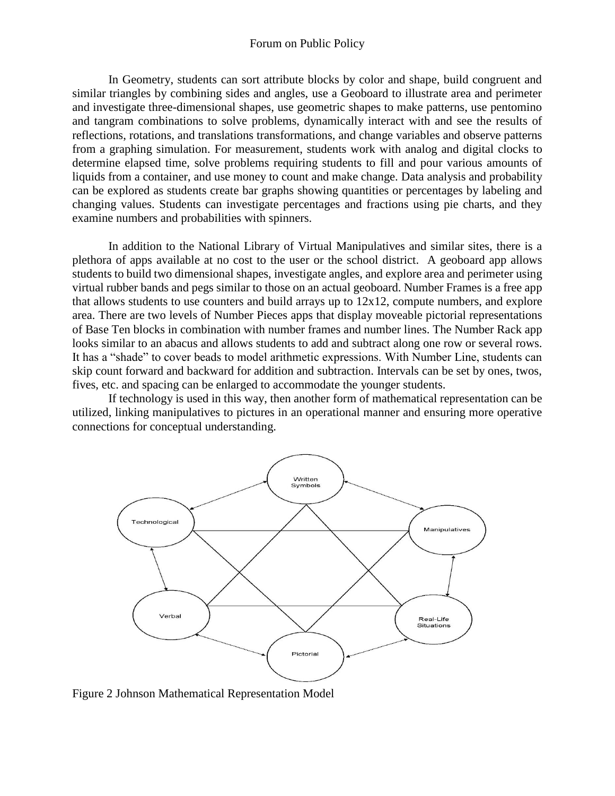In Geometry, students can sort attribute blocks by color and shape, build congruent and similar triangles by combining sides and angles, use a Geoboard to illustrate area and perimeter and investigate three-dimensional shapes, use geometric shapes to make patterns, use pentomino and tangram combinations to solve problems, dynamically interact with and see the results of reflections, rotations, and translations transformations, and change variables and observe patterns from a graphing simulation. For measurement, students work with analog and digital clocks to determine elapsed time, solve problems requiring students to fill and pour various amounts of liquids from a container, and use money to count and make change. Data analysis and probability can be explored as students create bar graphs showing quantities or percentages by labeling and changing values. Students can investigate percentages and fractions using pie charts, and they examine numbers and probabilities with spinners.

In addition to the National Library of Virtual Manipulatives and similar sites, there is a plethora of apps available at no cost to the user or the school district. A geoboard app allows students to build two dimensional shapes, investigate angles, and explore area and perimeter using virtual rubber bands and pegs similar to those on an actual geoboard. Number Frames is a free app that allows students to use counters and build arrays up to  $12x12$ , compute numbers, and explore area. There are two levels of Number Pieces apps that display moveable pictorial representations of Base Ten blocks in combination with number frames and number lines. The Number Rack app looks similar to an abacus and allows students to add and subtract along one row or several rows. It has a "shade" to cover beads to model arithmetic expressions. With Number Line, students can skip count forward and backward for addition and subtraction. Intervals can be set by ones, twos, fives, etc. and spacing can be enlarged to accommodate the younger students.

If technology is used in this way, then another form of mathematical representation can be utilized, linking manipulatives to pictures in an operational manner and ensuring more operative connections for conceptual understanding.



Figure 2 Johnson Mathematical Representation Model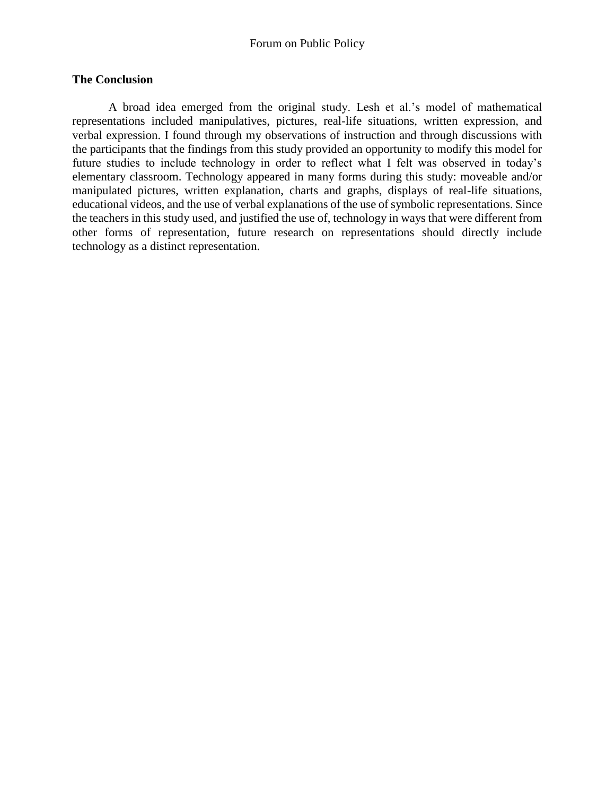## **The Conclusion**

A broad idea emerged from the original study. Lesh et al.'s model of mathematical representations included manipulatives, pictures, real-life situations, written expression, and verbal expression. I found through my observations of instruction and through discussions with the participants that the findings from this study provided an opportunity to modify this model for future studies to include technology in order to reflect what I felt was observed in today's elementary classroom. Technology appeared in many forms during this study: moveable and/or manipulated pictures, written explanation, charts and graphs, displays of real-life situations, educational videos, and the use of verbal explanations of the use of symbolic representations. Since the teachers in this study used, and justified the use of, technology in ways that were different from other forms of representation, future research on representations should directly include technology as a distinct representation.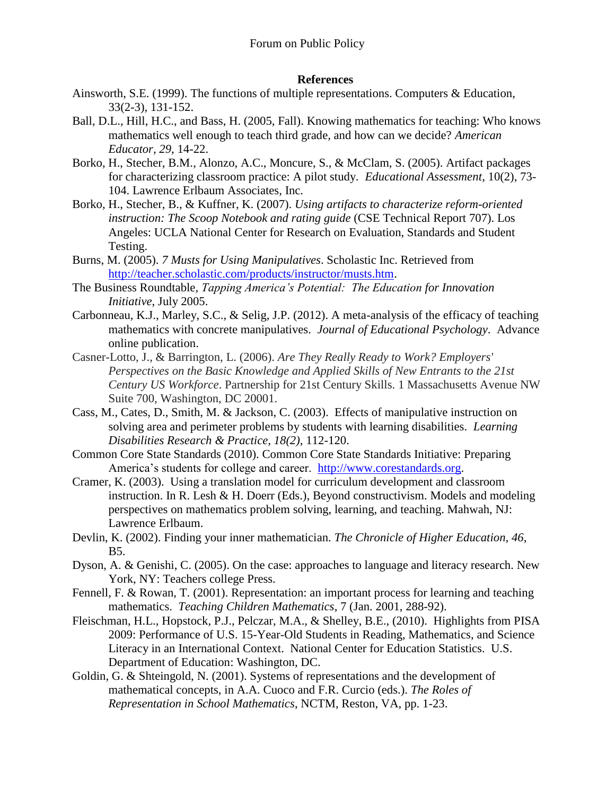## **References**

- Ainsworth, S.E. (1999). The functions of multiple representations. Computers & Education, 33(2-3), 131-152.
- Ball, D.L., Hill, H.C., and Bass, H. (2005, Fall). Knowing mathematics for teaching: Who knows mathematics well enough to teach third grade, and how can we decide? *American Educator, 29*, 14-22.
- Borko, H., Stecher, B.M., Alonzo, A.C., Moncure, S., & McClam, S. (2005). Artifact packages for characterizing classroom practice: A pilot study. *Educational Assessment*, 10(2), 73- 104. Lawrence Erlbaum Associates, Inc.
- Borko, H., Stecher, B., & Kuffner, K. (2007). *Using artifacts to characterize reform-oriented instruction: The Scoop Notebook and rating guide* (CSE Technical Report 707). Los Angeles: UCLA National Center for Research on Evaluation, Standards and Student Testing.
- Burns, M. (2005). *7 Musts for Using Manipulatives*. Scholastic Inc. Retrieved from [http://teacher.scholastic.com/products/instructor/musts.htm.](http://teacher.scholastic.com/products/instructor/musts.htm)
- The Business Roundtable, *Tapping America's Potential: The Education for Innovation Initiative*, July 2005.
- Carbonneau, K.J., Marley, S.C., & Selig, J.P. (2012). A meta-analysis of the efficacy of teaching mathematics with concrete manipulatives. *Journal of Educational Psychology*. Advance online publication.
- Casner-Lotto, J., & Barrington, L. (2006). *Are They Really Ready to Work? Employers' Perspectives on the Basic Knowledge and Applied Skills of New Entrants to the 21st Century US Workforce*. Partnership for 21st Century Skills. 1 Massachusetts Avenue NW Suite 700, Washington, DC 20001.
- Cass, M., Cates, D., Smith, M. & Jackson, C. (2003). Effects of manipulative instruction on solving area and perimeter problems by students with learning disabilities. *Learning Disabilities Research & Practice, 18(2),* 112-120.
- Common Core State Standards (2010). Common Core State Standards Initiative: Preparing America's students for college and career. [http://www.corestandards.org.](http://www.corestandards.org/)
- Cramer, K. (2003). Using a translation model for curriculum development and classroom instruction. In R. Lesh & H. Doerr (Eds.), Beyond constructivism. Models and modeling perspectives on mathematics problem solving, learning, and teaching. Mahwah, NJ: Lawrence Erlbaum.
- Devlin, K. (2002). Finding your inner mathematician. *The Chronicle of Higher Education, 46,* B5.
- Dyson, A. & Genishi, C. (2005). On the case: approaches to language and literacy research. New York, NY: Teachers college Press.
- Fennell, F. & Rowan, T. (2001). Representation: an important process for learning and teaching mathematics. *Teaching Children Mathematics*, 7 (Jan. 2001, 288-92).
- Fleischman, H.L., Hopstock, P.J., Pelczar, M.A., & Shelley, B.E., (2010). Highlights from PISA 2009: Performance of U.S. 15-Year-Old Students in Reading, Mathematics, and Science Literacy in an International Context. National Center for Education Statistics. U.S. Department of Education: Washington, DC.
- Goldin, G. & Shteingold, N. (2001). Systems of representations and the development of mathematical concepts, in A.A. Cuoco and F.R. Curcio (eds.). *The Roles of Representation in School Mathematics*, NCTM, Reston, VA, pp. 1-23.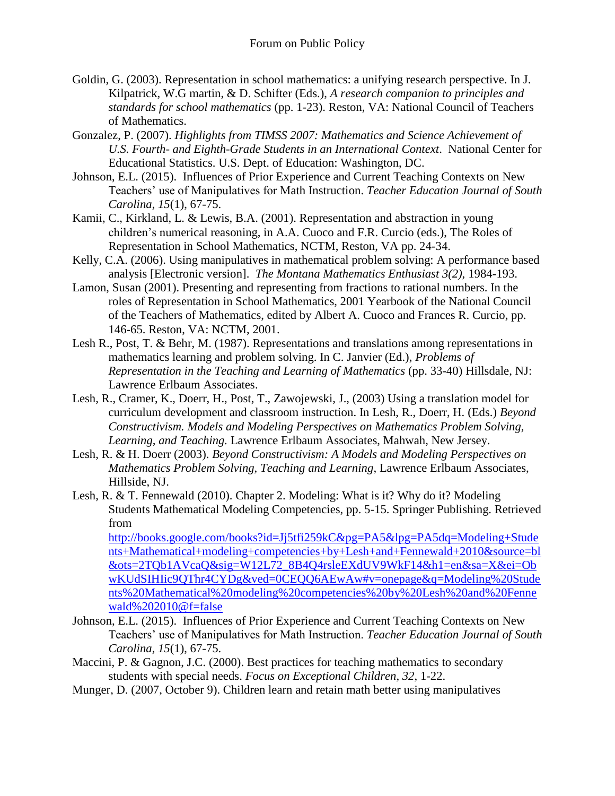- Goldin, G. (2003). Representation in school mathematics: a unifying research perspective. In J. Kilpatrick, W.G martin, & D. Schifter (Eds.), *A research companion to principles and standards for school mathematics* (pp. 1-23). Reston, VA: National Council of Teachers of Mathematics.
- Gonzalez, P. (2007). *Highlights from TIMSS 2007: Mathematics and Science Achievement of U.S. Fourth- and Eighth-Grade Students in an International Context*. National Center for Educational Statistics. U.S. Dept. of Education: Washington, DC.
- Johnson, E.L. (2015). Influences of Prior Experience and Current Teaching Contexts on New Teachers' use of Manipulatives for Math Instruction. *Teacher Education Journal of South Carolina, 15*(1), 67-75.
- Kamii, C., Kirkland, L. & Lewis, B.A. (2001). Representation and abstraction in young children's numerical reasoning, in A.A. Cuoco and F.R. Curcio (eds.), The Roles of Representation in School Mathematics, NCTM, Reston, VA pp. 24-34.
- Kelly, C.A. (2006). Using manipulatives in mathematical problem solving: A performance based analysis [Electronic version]. *The Montana Mathematics Enthusiast 3(2)*, 1984-193.
- Lamon, Susan (2001). Presenting and representing from fractions to rational numbers. In the roles of Representation in School Mathematics, 2001 Yearbook of the National Council of the Teachers of Mathematics, edited by Albert A. Cuoco and Frances R. Curcio, pp. 146-65. Reston, VA: NCTM, 2001.
- Lesh R., Post, T. & Behr, M. (1987). Representations and translations among representations in mathematics learning and problem solving. In C. Janvier (Ed.), *Problems of Representation in the Teaching and Learning of Mathematics* (pp. 33-40) Hillsdale, NJ: Lawrence Erlbaum Associates.
- Lesh, R., Cramer, K., Doerr, H., Post, T., Zawojewski, J., (2003) Using a translation model for curriculum development and classroom instruction. In Lesh, R., Doerr, H. (Eds.) *Beyond Constructivism. Models and Modeling Perspectives on Mathematics Problem Solving, Learning, and Teaching.* Lawrence Erlbaum Associates, Mahwah, New Jersey.
- Lesh, R. & H. Doerr (2003). *Beyond Constructivism: A Models and Modeling Perspectives on Mathematics Problem Solving, Teaching and Learning*, Lawrence Erlbaum Associates, Hillside, NJ.
- Lesh, R. & T. Fennewald (2010). Chapter 2. Modeling: What is it? Why do it? Modeling Students Mathematical Modeling Competencies, pp. 5-15. Springer Publishing. Retrieved from

[http://books.google.com/books?id=Jj5tfi259kC&pg=PA5&lpg=PA5dq=Modeling+Stude](http://books.google.com/books?id=Jj5tfi259kC&pg=PA5&lpg=PA5dq=Modeling+Students+Mathematical+modeling+competencies+by+Lesh+and+Fennewald+2010&source=bl&ots=2TQb1AVcaQ&sig=W12L72_8B4Q4rsleEXdUV9WkF14&h1=en&sa=X&ei=ObwKUdSIHIic9QThr4CYDg&ved=0CEQQ6AEwAw#v=onepage&q=Modeling%20Students%20Mathematical%20modeling%20competencies%20by%20Lesh%20and%20Fennewald%202010@f=false) [nts+Mathematical+modeling+competencies+by+Lesh+and+Fennewald+2010&source=bl](http://books.google.com/books?id=Jj5tfi259kC&pg=PA5&lpg=PA5dq=Modeling+Students+Mathematical+modeling+competencies+by+Lesh+and+Fennewald+2010&source=bl&ots=2TQb1AVcaQ&sig=W12L72_8B4Q4rsleEXdUV9WkF14&h1=en&sa=X&ei=ObwKUdSIHIic9QThr4CYDg&ved=0CEQQ6AEwAw#v=onepage&q=Modeling%20Students%20Mathematical%20modeling%20competencies%20by%20Lesh%20and%20Fennewald%202010@f=false) [&ots=2TQb1AVcaQ&sig=W12L72\\_8B4Q4rsleEXdUV9WkF14&h1=en&sa=X&ei=Ob](http://books.google.com/books?id=Jj5tfi259kC&pg=PA5&lpg=PA5dq=Modeling+Students+Mathematical+modeling+competencies+by+Lesh+and+Fennewald+2010&source=bl&ots=2TQb1AVcaQ&sig=W12L72_8B4Q4rsleEXdUV9WkF14&h1=en&sa=X&ei=ObwKUdSIHIic9QThr4CYDg&ved=0CEQQ6AEwAw#v=onepage&q=Modeling%20Students%20Mathematical%20modeling%20competencies%20by%20Lesh%20and%20Fennewald%202010@f=false) [wKUdSIHIic9QThr4CYDg&ved=0CEQQ6AEwAw#v=onepage&q=Modeling%20Stude](http://books.google.com/books?id=Jj5tfi259kC&pg=PA5&lpg=PA5dq=Modeling+Students+Mathematical+modeling+competencies+by+Lesh+and+Fennewald+2010&source=bl&ots=2TQb1AVcaQ&sig=W12L72_8B4Q4rsleEXdUV9WkF14&h1=en&sa=X&ei=ObwKUdSIHIic9QThr4CYDg&ved=0CEQQ6AEwAw#v=onepage&q=Modeling%20Students%20Mathematical%20modeling%20competencies%20by%20Lesh%20and%20Fennewald%202010@f=false) [nts%20Mathematical%20modeling%20competencies%20by%20Lesh%20and%20Fenne](http://books.google.com/books?id=Jj5tfi259kC&pg=PA5&lpg=PA5dq=Modeling+Students+Mathematical+modeling+competencies+by+Lesh+and+Fennewald+2010&source=bl&ots=2TQb1AVcaQ&sig=W12L72_8B4Q4rsleEXdUV9WkF14&h1=en&sa=X&ei=ObwKUdSIHIic9QThr4CYDg&ved=0CEQQ6AEwAw#v=onepage&q=Modeling%20Students%20Mathematical%20modeling%20competencies%20by%20Lesh%20and%20Fennewald%202010@f=false) [wald%202010@f=false](http://books.google.com/books?id=Jj5tfi259kC&pg=PA5&lpg=PA5dq=Modeling+Students+Mathematical+modeling+competencies+by+Lesh+and+Fennewald+2010&source=bl&ots=2TQb1AVcaQ&sig=W12L72_8B4Q4rsleEXdUV9WkF14&h1=en&sa=X&ei=ObwKUdSIHIic9QThr4CYDg&ved=0CEQQ6AEwAw#v=onepage&q=Modeling%20Students%20Mathematical%20modeling%20competencies%20by%20Lesh%20and%20Fennewald%202010@f=false)

- Johnson, E.L. (2015). Influences of Prior Experience and Current Teaching Contexts on New Teachers' use of Manipulatives for Math Instruction. *Teacher Education Journal of South Carolina, 15*(1), 67-75.
- Maccini, P. & Gagnon, J.C. (2000). Best practices for teaching mathematics to secondary students with special needs. *Focus on Exceptional Children, 32*, 1-22.
- Munger, D. (2007, October 9). Children learn and retain math better using manipulatives